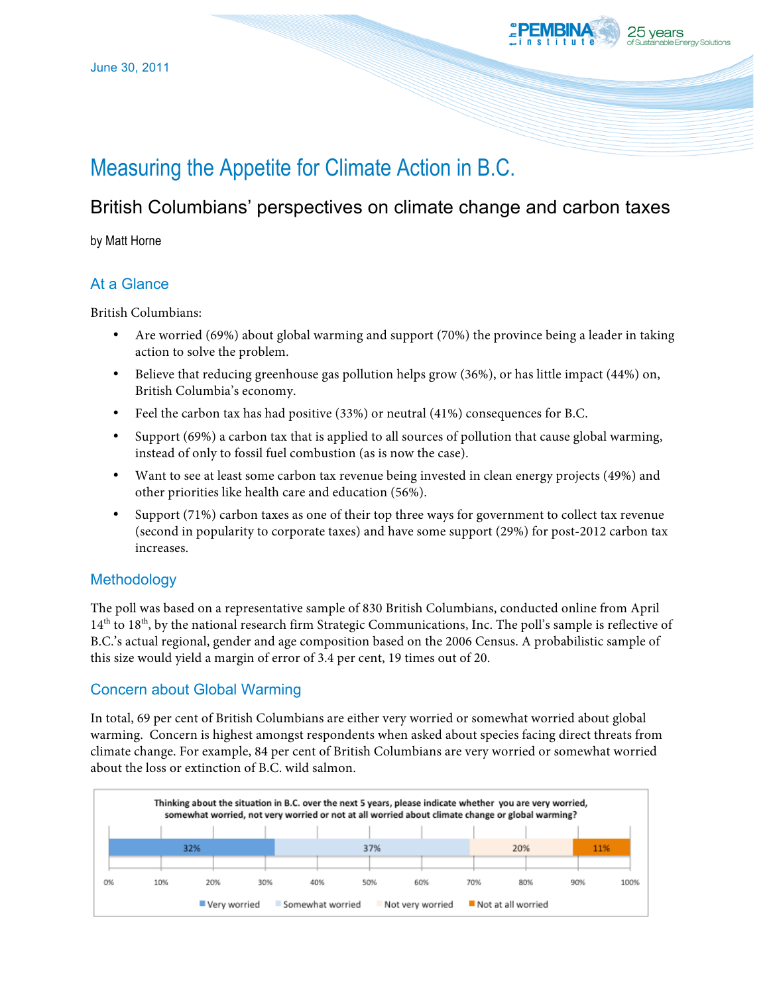

# Measuring the Appetite for Climate Action in B.C.

# British Columbians' perspectives on climate change and carbon taxes

by Matt Horne

## At a Glance

British Columbians:

- Are worried (69%) about global warming and support (70%) the province being a leader in taking action to solve the problem.
- Believe that reducing greenhouse gas pollution helps grow (36%), or has little impact (44%) on, British Columbia's economy.
- Feel the carbon tax has had positive (33%) or neutral (41%) consequences for B.C.
- Support (69%) a carbon tax that is applied to all sources of pollution that cause global warming, instead of only to fossil fuel combustion (as is now the case).
- Want to see at least some carbon tax revenue being invested in clean energy projects (49%) and other priorities like health care and education (56%).
- Support (71%) carbon taxes as one of their top three ways for government to collect tax revenue (second in popularity to corporate taxes) and have some support (29%) for post-2012 carbon tax increases.

### **Methodology**

The poll was based on a representative sample of 830 British Columbians, conducted online from April 14th to 18th, by the national research firm Strategic Communications, Inc. The poll's sample is reflective of B.C.'s actual regional, gender and age composition based on the 2006 Census. A probabilistic sample of this size would yield a margin of error of 3.4 per cent, 19 times out of 20.

### Concern about Global Warming

In total, 69 per cent of British Columbians are either very worried or somewhat worried about global warming. Concern is highest amongst respondents when asked about species facing direct threats from climate change. For example, 84 per cent of British Columbians are very worried or somewhat worried about the loss or extinction of B.C. wild salmon.

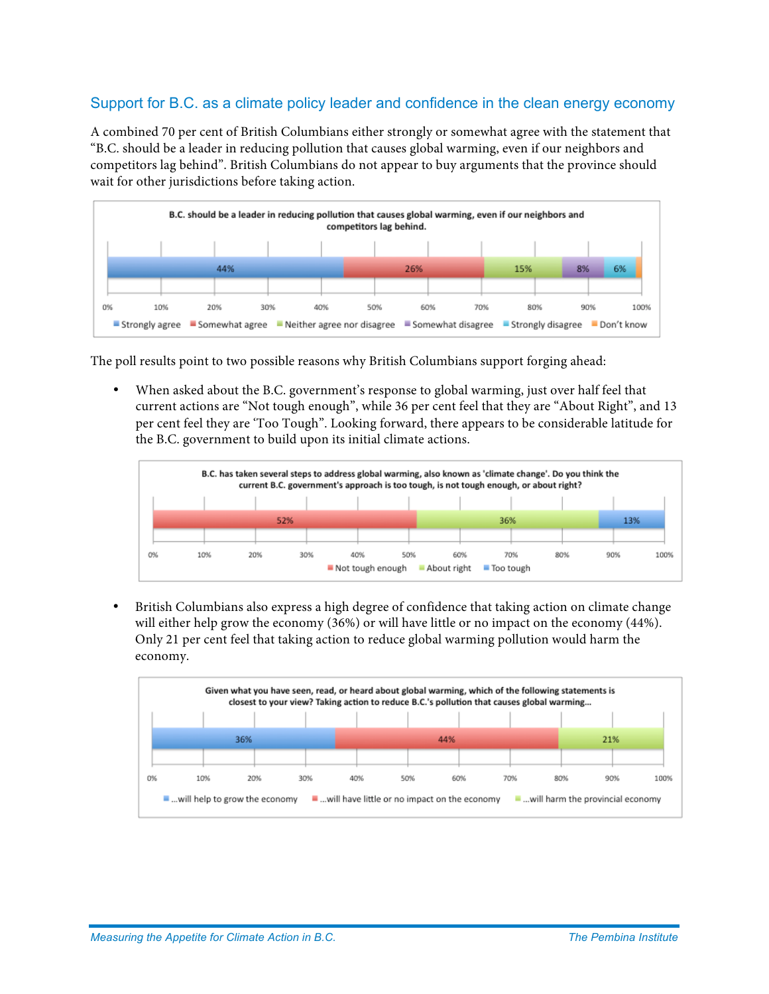#### Support for B.C. as a climate policy leader and confidence in the clean energy economy

A combined 70 per cent of British Columbians either strongly or somewhat agree with the statement that "B.C. should be a leader in reducing pollution that causes global warming, even if our neighbors and competitors lag behind". British Columbians do not appear to buy arguments that the province should wait for other jurisdictions before taking action.



The poll results point to two possible reasons why British Columbians support forging ahead:

• When asked about the B.C. government's response to global warming, just over half feel that current actions are "Not tough enough", while 36 per cent feel that they are "About Right", and 13 per cent feel they are 'Too Tough". Looking forward, there appears to be considerable latitude for the B.C. government to build upon its initial climate actions.



• British Columbians also express a high degree of confidence that taking action on climate change will either help grow the economy (36%) or will have little or no impact on the economy (44%). Only 21 per cent feel that taking action to reduce global warming pollution would harm the economy.

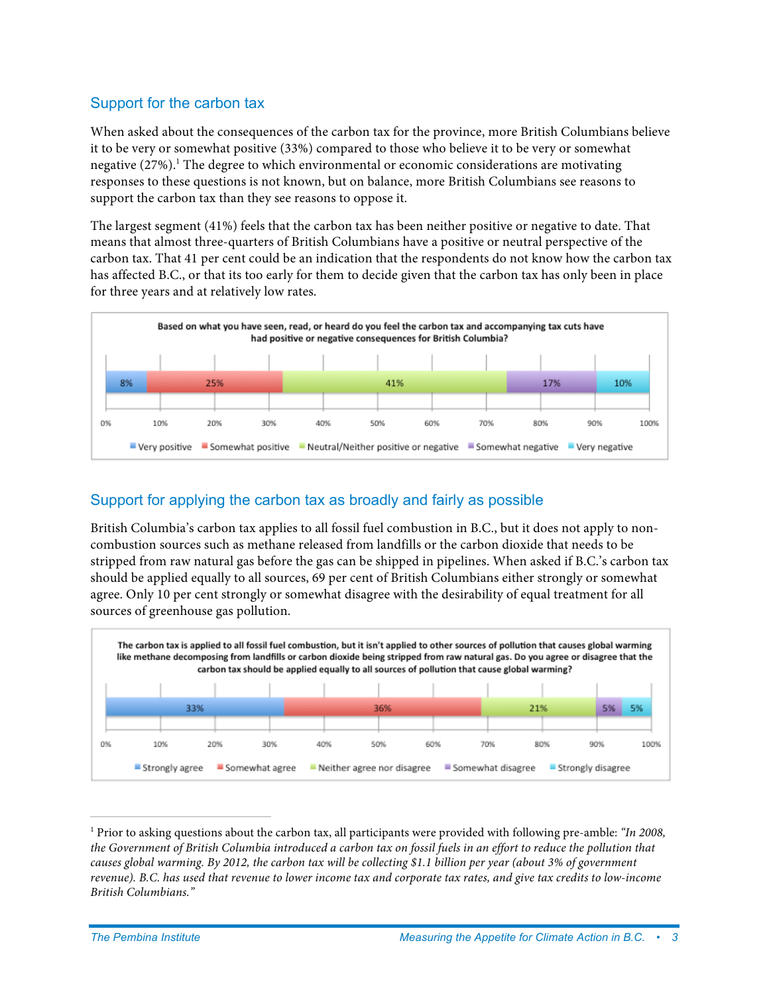#### Support for the carbon tax

When asked about the consequences of the carbon tax for the province, more British Columbians believe it to be very or somewhat positive (33%) compared to those who believe it to be very or somewhat negative  $(27%)$ .<sup>1</sup> The degree to which environmental or economic considerations are motivating responses to these questions is not known, but on balance, more British Columbians see reasons to support the carbon tax than they see reasons to oppose it.

The largest segment (41%) feels that the carbon tax has been neither positive or negative to date. That means that almost three-quarters of British Columbians have a positive or neutral perspective of the carbon tax. That 41 per cent could be an indication that the respondents do not know how the carbon tax has affected B.C., or that its too early for them to decide given that the carbon tax has only been in place for three years and at relatively low rates.



#### Support for applying the carbon tax as broadly and fairly as possible

British Columbia's carbon tax applies to all fossil fuel combustion in B.C., but it does not apply to noncombustion sources such as methane released from landfills or the carbon dioxide that needs to be stripped from raw natural gas before the gas can be shipped in pipelines. When asked if B.C.'s carbon tax should be applied equally to all sources, 69 per cent of British Columbians either strongly or somewhat agree. Only 10 per cent strongly or somewhat disagree with the desirability of equal treatment for all sources of greenhouse gas pollution.



 <sup>1</sup> Prior to asking questions about the carbon tax, all participants were provided with following pre-amble: *"In 2008, the Government of British Columbia introduced a carbon tax on fossil fuels in an effort to reduce the pollution that causes global warming. By 2012, the carbon tax will be collecting \$1.1 billion per year (about 3% of government revenue). B.C. has used that revenue to lower income tax and corporate tax rates, and give tax credits to low-income British Columbians."*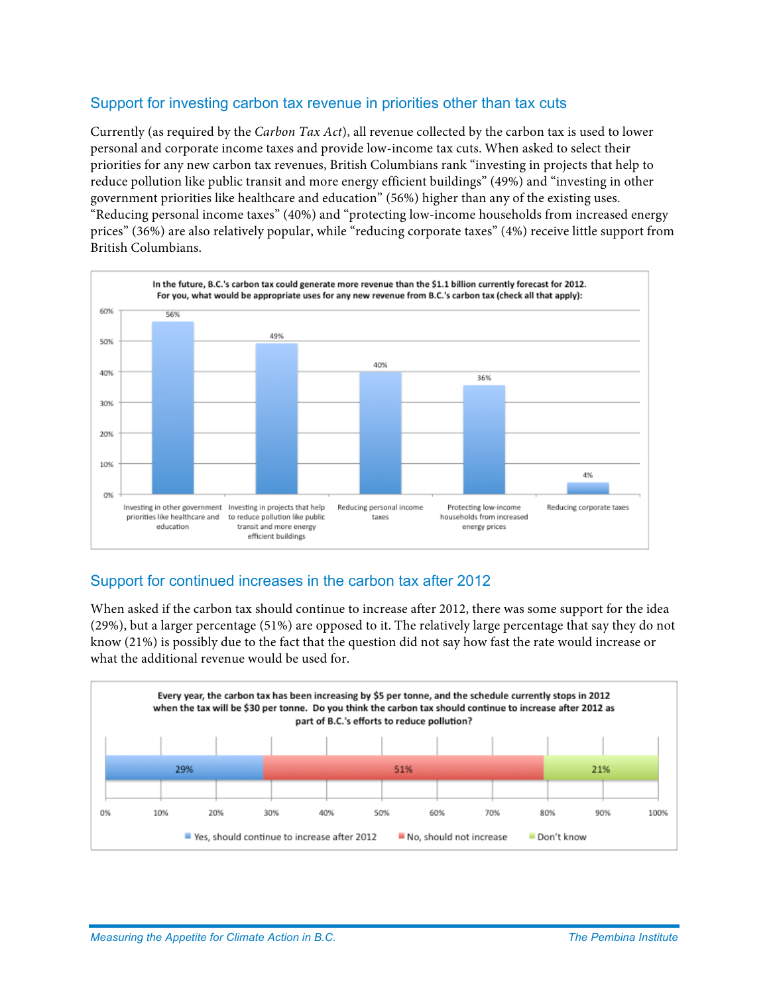#### Support for investing carbon tax revenue in priorities other than tax cuts

Currently (as required by the *Carbon Tax Act*), all revenue collected by the carbon tax is used to lower personal and corporate income taxes and provide low-income tax cuts. When asked to select their priorities for any new carbon tax revenues, British Columbians rank "investing in projects that help to reduce pollution like public transit and more energy efficient buildings" (49%) and "investing in other government priorities like healthcare and education" (56%) higher than any of the existing uses. "Reducing personal income taxes" (40%) and "protecting low-income households from increased energy prices" (36%) are also relatively popular, while "reducing corporate taxes" (4%) receive little support from British Columbians.



#### Support for continued increases in the carbon tax after 2012

When asked if the carbon tax should continue to increase after 2012, there was some support for the idea (29%), but a larger percentage (51%) are opposed to it. The relatively large percentage that say they do not know (21%) is possibly due to the fact that the question did not say how fast the rate would increase or what the additional revenue would be used for.